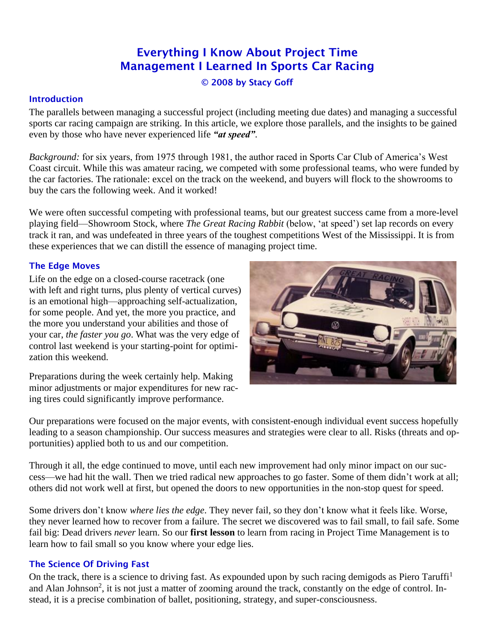# Everything I Know About Project Time Management I Learned In Sports Car Racing

© 2008 by Stacy Goff

## **Introduction**

The parallels between managing a successful project (including meeting due dates) and managing a successful sports car racing campaign are striking. In this article, we explore those parallels, and the insights to be gained even by those who have never experienced life *"at speed"*.

*Background:* for six years, from 1975 through 1981, the author raced in Sports Car Club of America's West Coast circuit. While this was amateur racing, we competed with some professional teams, who were funded by the car factories. The rationale: excel on the track on the weekend, and buyers will flock to the showrooms to buy the cars the following week. And it worked!

We were often successful competing with professional teams, but our greatest success came from a more-level playing field—Showroom Stock, where *The Great Racing Rabbit* (below, 'at speed') set lap records on every track it ran, and was undefeated in three years of the toughest competitions West of the Mississippi. It is from these experiences that we can distill the essence of managing project time.

## The Edge Moves

Life on the edge on a closed-course racetrack (one with left and right turns, plus plenty of vertical curves) is an emotional high—approaching self-actualization, for some people. And yet, the more you practice, and the more you understand your abilities and those of your car, *the faster you go*. What was the very edge of control last weekend is your starting-point for optimization this weekend.

Preparations during the week certainly help. Making minor adjustments or major expenditures for new racing tires could significantly improve performance.



Our preparations were focused on the major events, with consistent-enough individual event success hopefully leading to a season championship. Our success measures and strategies were clear to all. Risks (threats and opportunities) applied both to us and our competition.

Through it all, the edge continued to move, until each new improvement had only minor impact on our success—we had hit the wall. Then we tried radical new approaches to go faster. Some of them didn't work at all; others did not work well at first, but opened the doors to new opportunities in the non-stop quest for speed.

Some drivers don't know *where lies the edge*. They never fail, so they don't know what it feels like. Worse, they never learned how to recover from a failure. The secret we discovered was to fail small, to fail safe. Some fail big: Dead drivers *never* learn. So our **first lesson** to learn from racing in Project Time Management is to learn how to fail small so you know where your edge lies.

### The Science Of Driving Fast

On the track, there is a science to driving fast. As expounded upon by such racing demigods as Piero Taruffi<sup>1</sup> and Alan Johnson<sup>2</sup>, it is not just a matter of zooming around the track, constantly on the edge of control. Instead, it is a precise combination of ballet, positioning, strategy, and super-consciousness.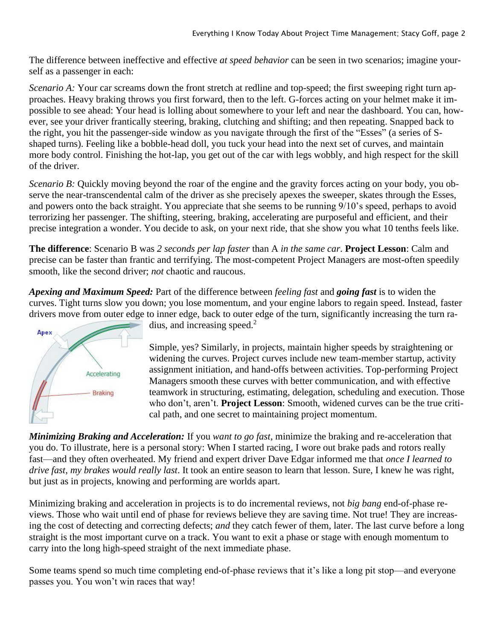The difference between ineffective and effective *at speed behavior* can be seen in two scenarios; imagine yourself as a passenger in each:

*Scenario A:* Your car screams down the front stretch at redline and top-speed; the first sweeping right turn approaches. Heavy braking throws you first forward, then to the left. G-forces acting on your helmet make it impossible to see ahead: Your head is lolling about somewhere to your left and near the dashboard. You can, however, see your driver frantically steering, braking, clutching and shifting; and then repeating. Snapped back to the right, you hit the passenger-side window as you navigate through the first of the "Esses" (a series of Sshaped turns). Feeling like a bobble-head doll, you tuck your head into the next set of curves, and maintain more body control. Finishing the hot-lap, you get out of the car with legs wobbly, and high respect for the skill of the driver.

*Scenario B:* Quickly moving beyond the roar of the engine and the gravity forces acting on your body, you observe the near-transcendental calm of the driver as she precisely apexes the sweeper, skates through the Esses, and powers onto the back straight. You appreciate that she seems to be running 9/10's speed, perhaps to avoid terrorizing her passenger. The shifting, steering, braking, accelerating are purposeful and efficient, and their precise integration a wonder. You decide to ask, on your next ride, that she show you what 10 tenths feels like.

**The difference**: Scenario B was *2 seconds per lap faster* than A *in the same car*. **Project Lesson**: Calm and precise can be faster than frantic and terrifying. The most-competent Project Managers are most-often speedily smooth, like the second driver; *not* chaotic and raucous.

*Apexing and Maximum Speed:* Part of the difference between *feeling fast* and *going fast* is to widen the curves. Tight turns slow you down; you lose momentum, and your engine labors to regain speed. Instead, faster drivers move from outer edge to inner edge, back to outer edge of the turn, significantly increasing the turn ra-



dius, and increasing speed.<sup>2</sup>

Simple, yes? Similarly, in projects, maintain higher speeds by straightening or widening the curves. Project curves include new team-member startup, activity assignment initiation, and hand-offs between activities. Top-performing Project Managers smooth these curves with better communication, and with effective teamwork in structuring, estimating, delegation, scheduling and execution. Those who don't, aren't. **Project Lesson**: Smooth, widened curves can be the true critical path, and one secret to maintaining project momentum.

*Minimizing Braking and Acceleration:* If you *want to go fast*, minimize the braking and re-acceleration that you do. To illustrate, here is a personal story: When I started racing, I wore out brake pads and rotors really fast—and they often overheated. My friend and expert driver Dave Edgar informed me that *once I learned to drive fast, my brakes would really last*. It took an entire season to learn that lesson. Sure, I knew he was right, but just as in projects, knowing and performing are worlds apart.

Minimizing braking and acceleration in projects is to do incremental reviews, not *big bang* end-of-phase reviews. Those who wait until end of phase for reviews believe they are saving time. Not true! They are increasing the cost of detecting and correcting defects; *and* they catch fewer of them, later. The last curve before a long straight is the most important curve on a track. You want to exit a phase or stage with enough momentum to carry into the long high-speed straight of the next immediate phase.

Some teams spend so much time completing end-of-phase reviews that it's like a long pit stop—and everyone passes you. You won't win races that way!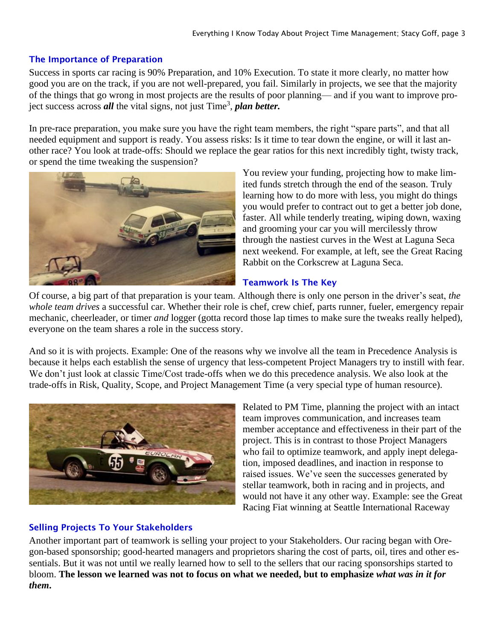## The Importance of Preparation

Success in sports car racing is 90% Preparation, and 10% Execution. To state it more clearly, no matter how good you are on the track, if you are not well-prepared, you fail. Similarly in projects, we see that the majority of the things that go wrong in most projects are the results of poor planning— and if you want to improve project success across *all* the vital signs, not just Time<sup>3</sup>, *plan better*.

In pre-race preparation, you make sure you have the right team members, the right "spare parts", and that all needed equipment and support is ready. You assess risks: Is it time to tear down the engine, or will it last another race? You look at trade-offs: Should we replace the gear ratios for this next incredibly tight, twisty track, or spend the time tweaking the suspension?



You review your funding, projecting how to make limited funds stretch through the end of the season. Truly learning how to do more with less, you might do things you would prefer to contract out to get a better job done, faster. All while tenderly treating, wiping down, waxing and grooming your car you will mercilessly throw through the nastiest curves in the West at Laguna Seca next weekend. For example, at left, see the Great Racing Rabbit on the Corkscrew at Laguna Seca.

## Teamwork Is The Key

Of course, a big part of that preparation is your team. Although there is only one person in the driver's seat, *the whole team drives* a successful car. Whether their role is chef, crew chief, parts runner, fueler, emergency repair mechanic, cheerleader, or timer *and* logger (gotta record those lap times to make sure the tweaks really helped), everyone on the team shares a role in the success story.

And so it is with projects. Example: One of the reasons why we involve all the team in Precedence Analysis is because it helps each establish the sense of urgency that less-competent Project Managers try to instill with fear. We don't just look at classic Time/Cost trade-offs when we do this precedence analysis. We also look at the trade-offs in Risk, Quality, Scope, and Project Management Time (a very special type of human resource).



Related to PM Time, planning the project with an intact team improves communication, and increases team member acceptance and effectiveness in their part of the project. This is in contrast to those Project Managers who fail to optimize teamwork, and apply inept delegation, imposed deadlines, and inaction in response to raised issues. We've seen the successes generated by stellar teamwork, both in racing and in projects, and would not have it any other way. Example: see the Great Racing Fiat winning at Seattle International Raceway

## Selling Projects To Your Stakeholders

Another important part of teamwork is selling your project to your Stakeholders. Our racing began with Oregon-based sponsorship; good-hearted managers and proprietors sharing the cost of parts, oil, tires and other essentials. But it was not until we really learned how to sell to the sellers that our racing sponsorships started to bloom. **The lesson we learned was not to focus on what we needed, but to emphasize** *what was in it for them***.**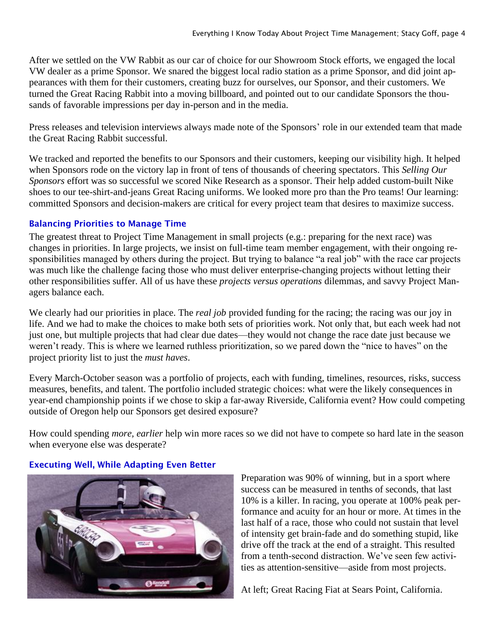After we settled on the VW Rabbit as our car of choice for our Showroom Stock efforts, we engaged the local VW dealer as a prime Sponsor. We snared the biggest local radio station as a prime Sponsor, and did joint appearances with them for their customers, creating buzz for ourselves, our Sponsor, and their customers. We turned the Great Racing Rabbit into a moving billboard, and pointed out to our candidate Sponsors the thousands of favorable impressions per day in-person and in the media.

Press releases and television interviews always made note of the Sponsors' role in our extended team that made the Great Racing Rabbit successful.

We tracked and reported the benefits to our Sponsors and their customers, keeping our visibility high. It helped when Sponsors rode on the victory lap in front of tens of thousands of cheering spectators. This *Selling Our Sponsors* effort was so successful we scored Nike Research as a sponsor. Their help added custom-built Nike shoes to our tee-shirt-and-jeans Great Racing uniforms. We looked more pro than the Pro teams! Our learning: committed Sponsors and decision-makers are critical for every project team that desires to maximize success.

# Balancing Priorities to Manage Time

The greatest threat to Project Time Management in small projects (e.g.: preparing for the next race) was changes in priorities. In large projects, we insist on full-time team member engagement, with their ongoing responsibilities managed by others during the project. But trying to balance "a real job" with the race car projects was much like the challenge facing those who must deliver enterprise-changing projects without letting their other responsibilities suffer. All of us have these *projects versus operations* dilemmas, and savvy Project Managers balance each.

We clearly had our priorities in place. The *real job* provided funding for the racing; the racing was our joy in life. And we had to make the choices to make both sets of priorities work. Not only that, but each week had not just one, but multiple projects that had clear due dates—they would not change the race date just because we weren't ready. This is where we learned ruthless prioritization, so we pared down the "nice to haves" on the project priority list to just the *must haves*.

Every March-October season was a portfolio of projects, each with funding, timelines, resources, risks, success measures, benefits, and talent. The portfolio included strategic choices: what were the likely consequences in year-end championship points if we chose to skip a far-away Riverside, California event? How could competing outside of Oregon help our Sponsors get desired exposure?

How could spending *more, earlier* help win more races so we did not have to compete so hard late in the season when everyone else was desperate?



## Executing Well, While Adapting Even Better

Preparation was 90% of winning, but in a sport where success can be measured in tenths of seconds, that last 10% is a killer. In racing, you operate at 100% peak performance and acuity for an hour or more. At times in the last half of a race, those who could not sustain that level of intensity get brain-fade and do something stupid, like drive off the track at the end of a straight. This resulted from a tenth-second distraction. We've seen few activities as attention-sensitive—aside from most projects.

At left; Great Racing Fiat at Sears Point, California.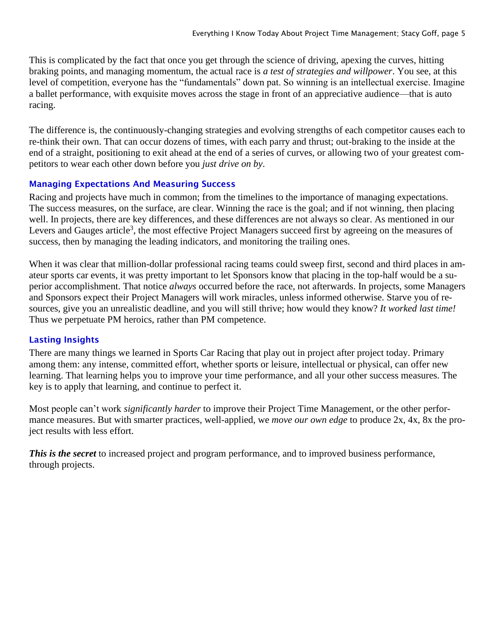This is complicated by the fact that once you get through the science of driving, apexing the curves, hitting braking points, and managing momentum, the actual race is *a test of strategies and willpower*. You see, at this level of competition, everyone has the "fundamentals" down pat. So winning is an intellectual exercise. Imagine a ballet performance, with exquisite moves across the stage in front of an appreciative audience—that is auto racing.

The difference is, the continuously-changing strategies and evolving strengths of each competitor causes each to re-think their own. That can occur dozens of times, with each parry and thrust; out-braking to the inside at the end of a straight, positioning to exit ahead at the end of a series of curves, or allowing two of your greatest competitors to wear each other down before you *just drive on by*.

## Managing Expectations And Measuring Success

Racing and projects have much in common; from the timelines to the importance of managing expectations. The success measures, on the surface, are clear. Winning the race is the goal; and if not winning, then placing well. In projects, there are key differences, and these differences are not always so clear. As mentioned in our Levers and Gauges article<sup>3</sup>, the most effective Project Managers succeed first by agreeing on the measures of success, then by managing the leading indicators, and monitoring the trailing ones.

When it was clear that million-dollar professional racing teams could sweep first, second and third places in amateur sports car events, it was pretty important to let Sponsors know that placing in the top-half would be a superior accomplishment. That notice *always* occurred before the race, not afterwards. In projects, some Managers and Sponsors expect their Project Managers will work miracles, unless informed otherwise. Starve you of resources, give you an unrealistic deadline, and you will still thrive; how would they know? *It worked last time!* Thus we perpetuate PM heroics, rather than PM competence.

## Lasting Insights

There are many things we learned in Sports Car Racing that play out in project after project today. Primary among them: any intense, committed effort, whether sports or leisure, intellectual or physical, can offer new learning. That learning helps you to improve your time performance, and all your other success measures. The key is to apply that learning, and continue to perfect it.

Most people can't work *significantly harder* to improve their Project Time Management, or the other performance measures. But with smarter practices, well-applied, we *move our own edge* to produce 2x, 4x, 8x the project results with less effort.

*This is the secret* to increased project and program performance, and to improved business performance, through projects.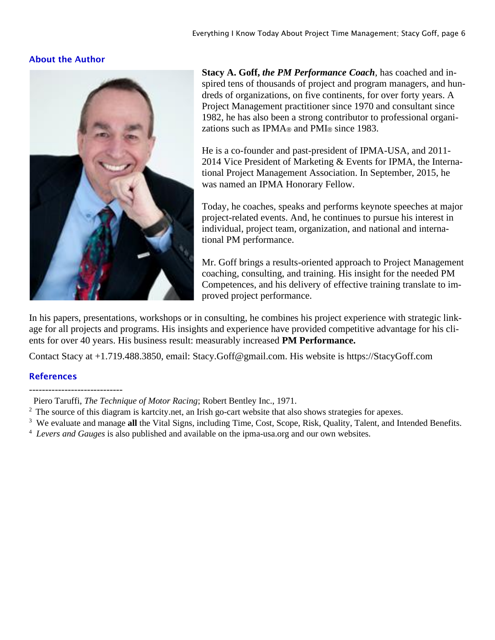## About the Author



**Stacy A. Goff,** *the PM Performance Coach*, has coached and inspired tens of thousands of project and program managers, and hundreds of organizations, on five continents, for over forty years. A Project Management practitioner since 1970 and consultant since 1982, he has also been a strong contributor to professional organizations such as IPMA® and PMI® since 1983.

He is a co-founder and past-president of IPMA-USA, and 2011- 2014 Vice President of Marketing & Events for IPMA, the International Project Management Association. In September, 2015, he was named an IPMA Honorary Fellow.

Today, he coaches, speaks and performs keynote speeches at major project-related events. And, he continues to pursue his interest in individual, project team, organization, and national and international PM performance.

Mr. Goff brings a results-oriented approach to Project Management coaching, consulting, and training. His insight for the needed PM Competences, and his delivery of effective training translate to improved project performance.

In his papers, presentations, workshops or in consulting, he combines his project experience with strategic linkage for all projects and programs. His insights and experience have provided competitive advantage for his clients for over 40 years. His business result: measurably increased **PM Performance.** 

Contact Stacy at +1.719.488.3850, email: Stacy.Goff@gmail.com. His website is https://StacyGoff.com

### References

- <sup>3</sup> We evaluate and manage all the Vital Signs, including Time, Cost, Scope, Risk, Quality, Talent, and Intended Benefits.
- 4 *Levers and Gauges* is also published and available on the ipma-usa.org and our own websites.

Piero Taruffi, *The Technique of Motor Racing*; Robert Bentley Inc., 1971.

<sup>&</sup>lt;sup>2</sup> The source of this diagram is kartcity.net, an Irish go-cart website that also shows strategies for apexes.